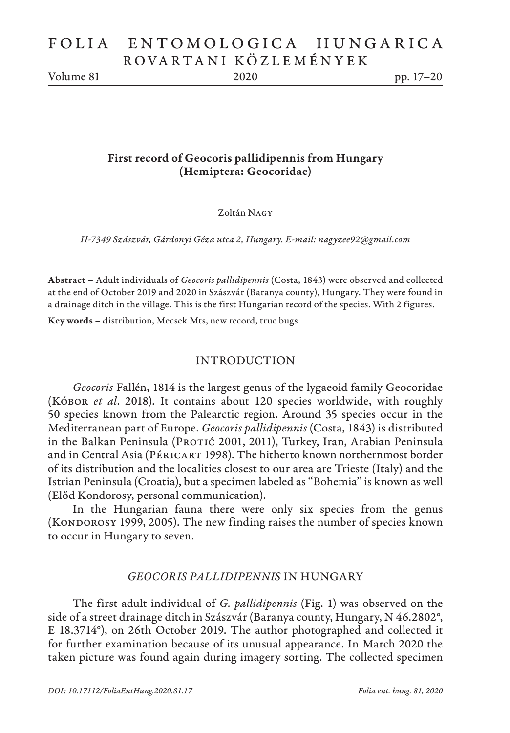# FOLIA ENTOMOLOGICA HUNGARICA ROVARTANI KÖZLEMÉNYEK

Volume 81 2020 pp. 17–20

# First record of Geocoris pallidipennis from Hungary (Hemiptera: Geocoridae)

Zoltán Nagy

*H-7349 Szászvár, Gárdonyi Géza utca 2, Hungary. E-mail: nagyzee92@gmail.com*

Abstract – Adult individuals of *Geocoris pallidipennis* (Costa, 1843) were observed and collected at the end of October 2019 and 2020 in Szászvár (Baranya county), Hungary. They were found in a drainage ditch in the village. This is the first Hungarian record of the species. With 2 figures.

Key words – distribution, Mecsek Mts, new record, true bugs

#### INTRODUCTION

*Geocoris* Fallén, 1814 is the largest genus of the lygaeoid family Geocoridae (Kóbor *et al*. 2018). It contains about 120 species worldwide, with roughly 50 species known from the Palearctic region. Around 35 species occur in the Mediterranean part of Europe. *Geocoris pallidipennis* (Costa, 1843) is distributed in the Balkan Peninsula (Protic 2001, 2011), Turkey, Iran, Arabian Peninsula and in Central Asia (PÉRICART 1998). The hitherto known northernmost border of its distribution and the localities closest to our area are Trieste (Italy) and the Istrian Peninsula (Croatia), but a specimen labeled as "Bohemia" is known as well (Előd Kondorosy, personal communication).

In the Hungarian fauna there were only six species from the genus (KONDOROSY 1999, 2005). The new finding raises the number of species known to occur in Hungary to seven.

#### *GEOCORIS PALLIDIPENNIS* IN HUNGARY

The first adult individual of *G. pallidipennis* (Fig. 1) was observed on the side of a street drainage ditch in Szászvár (Baranya county, Hungary, N 46.2802°, E 18.3714°), on 26th October 2019. The author photographed and collected it for further examination because of its unusual appearance. In March 2020 the taken picture was found again during imagery sorting. The collected specimen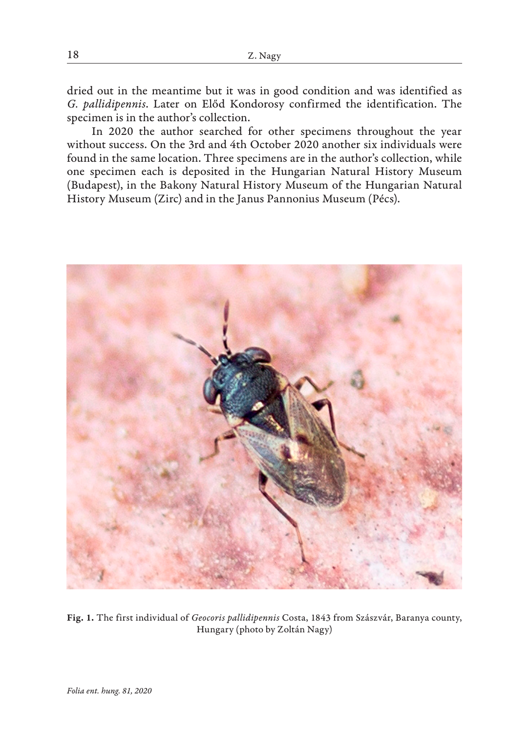dried out in the meantime but it was in good condition and was identified as *G. pallidipennis*. Later on Előd Kondorosy confirmed the identification. The specimen is in the author's collection.

In 2020 the author searched for other specimens throughout the year without success. On the 3rd and 4th October 2020 another six individuals were found in the same location. Three specimens are in the author's collection, while one specimen each is deposited in the Hungarian Natural History Museum (Budapest), in the Bakony Natural History Museum of the Hungarian Natural History Museum (Zirc) and in the Janus Pannonius Museum (Pécs).



Fig. 1. The first individual of *Geocoris pallidipennis* Costa, 1843 from Szászvár, Baranya county, Hungary (photo by Zoltán Nagy)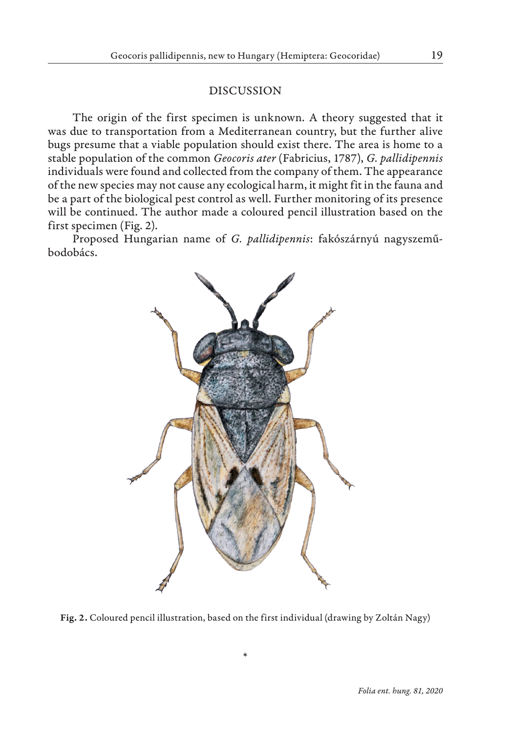### DISCUSSION

The origin of the first specimen is unknown. A theory suggested that it was due to transportation from a Mediterranean country, but the further alive bugs presume that a viable population should exist there. The area is home to a stable population of the common *Geocoris ater* (Fabricius, 1787), *G. pallidipennis* individuals were found and collected from the company of them. The appearance of the new species may not cause any ecological harm, it might fit in the fauna and be a part of the biological pest control as well. Further monitoring of its presence will be continued. The author made a coloured pencil illustration based on the first specimen (Fig. 2).

Proposed Hungarian name of *G. pallidipennis*: fakószárnyú nagyszeműbodobács.



Fig. 2. Coloured pencil illustration, based on the first individual (drawing by Zoltán Nagy)